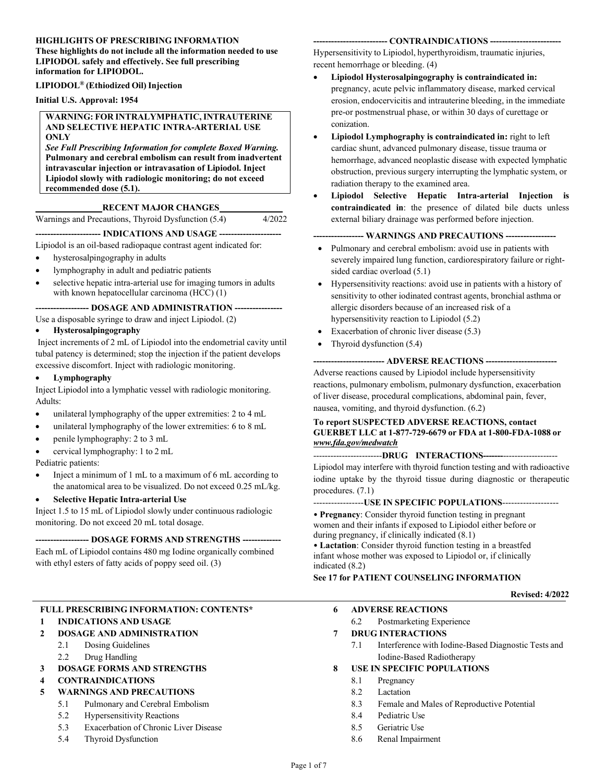# **HIGHLIGHTS OF PRESCRIBING INFORMATION**

**These highlights do not include all the information needed to use LIPIODOL safely and effectively. See full prescribing information for LIPIODOL.**

### **LIPIODOL® (Ethiodized Oil)Injection**

**Initial U.S. Approval: 1954**

#### **WARNING: FOR INTRALYMPHATIC,INTRAUTERINE AND SELECTIVE HEPATIC INTRA-ARTERIAL USE ONLY**

*See Full Prescribing Information for complete Boxed Warning.*  **Pulmonary and cerebral embolism can result from inadvertent intravascular injection or intravasation of Lipiodol. Inject Lipiodol slowly with radiologic monitoring; do not exceed recommended dose (5.1).**

## **RECENT MAJOR CHANGES**

Warnings and Precautions, Thyroid Dysfunction (5.4) 4/2022

# **---------------------- INDICATIONS AND USAGE ---------------------**

Lipiodol is an oil-based radiopaque contrast agent indicated for:

- hysterosalpingography in adults
- lymphography in adult and pediatric patients
- selective hepatic intra-arterial use for imaging tumors in adults with known hepatocellular carcinoma (HCC) (1)

### **------------------ DOSAGE AND ADMINISTRATION ----------------**

Use a disposable syringe to draw and inject Lipiodol. (2)

## • **Hysterosalpingography**

Inject increments of 2 mL of Lipiodol into the endometrial cavity until tubal patency is determined; stop the injection if the patient develops excessive discomfort. Inject with radiologic monitoring.

#### • **Lymphography**

Inject Lipiodol into a lymphatic vessel with radiologic monitoring. Adults:

- unilateral lymphography of the upper extremities: 2 to 4 mL
- unilateral lymphography of the lower extremities: 6 to 8 mL
- penile lymphography: 2 to 3 mL
- cervical lymphography: 1 to 2 mL

Pediatric patients:

- Inject a minimum of 1 mL to a maximum of 6 mL according to the anatomical area to be visualized. Do not exceed 0.25 mL/kg.
- **Selective Hepatic Intra-arterial Use**

Inject 1.5 to 15 mL of Lipiodol slowly under continuous radiologic monitoring. Do not exceed 20 mL total dosage.

## **------------------ DOSAGE FORMS AND STRENGTHS -------------**

Each mL of Lipiodol contains 480 mg Iodine organically combined with ethyl esters of fatty acids of poppy seed oil. (3)

# **FULL PRESCRIBING INFORMATION: CONTENTS\***

## **1 INDICATIONS AND USAGE**

- **2 DOSAGE AND ADMINISTRATION**
	- 2.1 Dosing Guidelines
		- 2.2 Drug Handling
- **3 DOSAGE FORMS AND STRENGTHS**
- **4 CONTRAINDICATIONS**

## **5 WARNINGS AND PRECAUTIONS**

- 5.1 Pulmonary and Cerebral Embolism
- 5.2 Hypersensitivity Reactions
- 5.3 Exacerbation of Chronic Liver Disease
- 5.4 Thyroid Dysfunction

#### **------------------------- CONTRAINDICATIONS ------------------------**

Hypersensitivity to Lipiodol, hyperthyroidism, traumatic injuries, recent hemorrhage or bleeding. (4)

- **Lipiodol Hysterosalpingography is contraindicated in:**  pregnancy, acute pelvic inflammatory disease, marked cervical erosion, endocervicitis and intrauterine bleeding, in the immediate pre-or postmenstrual phase, or within 30 days of curettage or conization.
- **Lipiodol Lymphography is contraindicated in:** right to left cardiac shunt, advanced pulmonary disease, tissue trauma or hemorrhage, advanced neoplastic disease with expected lymphatic obstruction, previous surgery interrupting the lymphatic system, or radiation therapy to the examined area.
- **Lipiodol Selective Hepatic Intra-arterial Injection is contraindicated in**: the presence of dilated bile ducts unless external biliary drainage was performed before injection.

### **----------------- WARNINGS AND PRECAUTIONS -----------------**

- Pulmonary and cerebral embolism: avoid use in patients with severely impaired lung function, cardiorespiratory failure or rightsided cardiac overload (5.1)
- Hypersensitivity reactions: avoid use in patients with a history of sensitivity to other iodinated contrast agents, bronchial asthma or allergic disorders because of an increased risk of a hypersensitivity reaction to Lipiodol (5.2)
- Exacerbation of chronic liver disease (5.3)
- Thyroid dysfunction (5.4)

#### **------------------------ ADVERSE REACTIONS ------------------------**

Adverse reactions caused by Lipiodol include hypersensitivity reactions, pulmonary embolism, pulmonary dysfunction, exacerbation of liver disease, procedural complications, abdominal pain, fever, nausea, vomiting, and thyroid dysfunction. (6.2)

## **To report SUSPECTED ADVERSE REACTIONS, contact GUERBET LLC at 1-877-729-6679 or FDA at 1-800-FDA-1088 or** *[www.fda.gov/medwatch](http://www.fda.gov/medwatch)*

## ------------------------**DRUG INTERACTIONS-------**-------------------

Lipiodol may interfere with thyroid function testing and with radioactive iodine uptake by the thyroid tissue during diagnostic or therapeutic procedures. (7.1)

#### -----------------**USE IN SPECIFIC POPULATIONS**-------------------

• **Pregnancy**: Consider thyroid function testing in pregnant women and their infants if exposed to Lipiodol either before or during pregnancy, if clinically indicated (8.1)

• **Lactation**: Consider thyroid function testing in a breastfed infant whose mother was exposed to Lipiodol or, if clinically indicated (8.2)

# **See 17 for PATIENT COUNSELING INFORMATION**

#### **Revised: 4/2022**

- **6 ADVERSE REACTIONS**
	- 6.2 Postmarketing Experience
- **7 DRUG INTERACTIONS**
	- 7.1 Interference with Iodine-Based Diagnostic Tests and Iodine-Based Radiotherapy

### **8 USE IN SPECIFIC POPULATIONS**

- 8.1 Pregnancy
- 8.2 Lactation
- 8.3 Female and Males of Reproductive Potential
- 8.4 Pediatric Use
- 8.5 Geriatric Use
- 8.6 Renal Impairment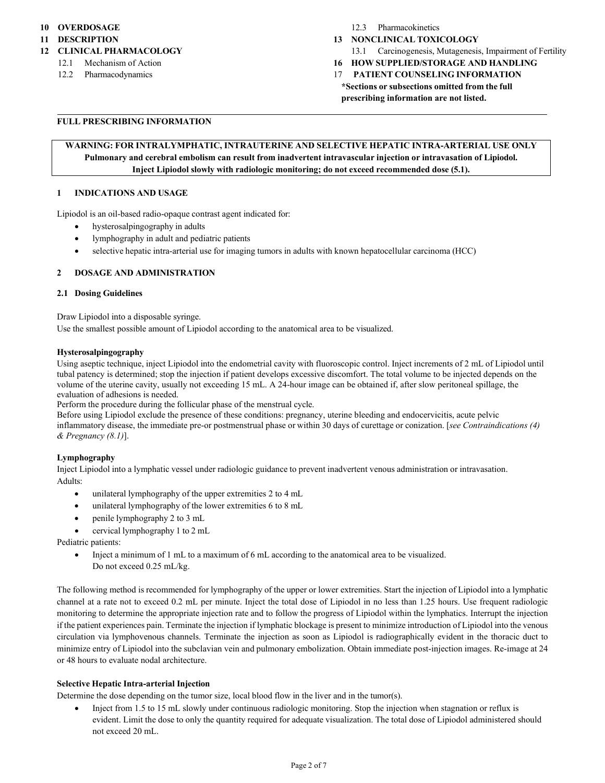### **10 OVERDOSAGE**

**11 DESCRIPTION**

### **12 CLINICAL PHARMACOLOGY**

- 12.1 Mechanism of Action
- 12.2 Pharmacodynamics

#### 12.3 Pharmacokinetics

- **13 NONCLINICAL TOXICOLOGY**
	- 13.1 Carcinogenesis, Mutagenesis, Impairment of Fertility
- **16 HOW SUPPLIED/STORAGE AND HANDLING**
- 17 **PATIENT COUNSELING INFORMATION \*Sections or subsections omitted from the full prescribing information are not listed.**

## **FULL PRESCRIBING INFORMATION**

# **WARNING: FOR INTRALYMPHATIC, INTRAUTERINE AND SELECTIVE HEPATIC INTRA-ARTERIAL USE ONLY Pulmonary and cerebral embolism can result from inadvertent intravascular injection or intravasation of Lipiodol. Inject Lipiodol slowly with radiologic monitoring; do not exceed recommended dose (5.1).**

### **1 INDICATIONS AND USAGE**

Lipiodol is an oil-based radio-opaque contrast agent indicated for:

- hysterosalpingography in adults
- lymphography in adult and pediatric patients
- selective hepatic intra-arterial use for imaging tumors in adults with known hepatocellular carcinoma (HCC)

## **2 DOSAGE AND ADMINISTRATION**

### **2.1 Dosing Guidelines**

Draw Lipiodol into a disposable syringe.

Use the smallest possible amount of Lipiodol according to the anatomical area to be visualized.

#### **Hysterosalpingography**

Using aseptic technique, inject Lipiodol into the endometrial cavity with fluoroscopic control. Inject increments of 2 mL of Lipiodol until tubal patency is determined; stop the injection if patient develops excessive discomfort. The total volume to be injected depends on the volume of the uterine cavity, usually not exceeding 15 mL. A 24-hour image can be obtained if, after slow peritoneal spillage, the evaluation of adhesions is needed.

Perform the procedure during the follicular phase of the menstrual cycle.

Before using Lipiodol exclude the presence of these conditions: pregnancy, uterine bleeding and endocervicitis, acute pelvic inflammatory disease, the immediate pre-or postmenstrual phase or within 30 days of curettage or conization. [*see Contraindications (4) & Pregnancy (8.1)*].

## **Lymphography**

Inject Lipiodol into a lymphatic vessel under radiologic guidance to prevent inadvertent venous administration or intravasation. Adults:

- unilateral lymphography of the upper extremities 2 to 4 mL
- unilateral lymphography of the lower extremities 6 to 8 mL
- penile lymphography 2 to 3 mL
- cervical lymphography 1 to 2 mL

Pediatric patients:

• Inject a minimum of 1 mL to a maximum of 6 mL according to the anatomical area to be visualized. Do not exceed 0.25 mL/kg.

The following method is recommended for lymphography of the upper or lower extremities. Start the injection of Lipiodol into a lymphatic channel at a rate not to exceed 0.2 mL per minute. Inject the total dose of Lipiodol in no less than 1.25 hours. Use frequent radiologic monitoring to determine the appropriate injection rate and to follow the progress of Lipiodol within the lymphatics. Interrupt the injection if the patient experiences pain. Terminate the injection if lymphatic blockage is present to minimize introduction of Lipiodol into the venous circulation via lymphovenous channels. Terminate the injection as soon as Lipiodol is radiographically evident in the thoracic duct to minimize entry of Lipiodol into the subclavian vein and pulmonary embolization. Obtain immediate post-injection images. Re-image at 24 or 48 hours to evaluate nodal architecture.

### **Selective Hepatic Intra-arterial Injection**

Determine the dose depending on the tumor size, local blood flow in the liver and in the tumor(s).

• Inject from 1.5 to 15 mL slowly under continuous radiologic monitoring. Stop the injection when stagnation or reflux is evident. Limit the dose to only the quantity required for adequate visualization. The total dose of Lipiodol administered should not exceed 20 mL.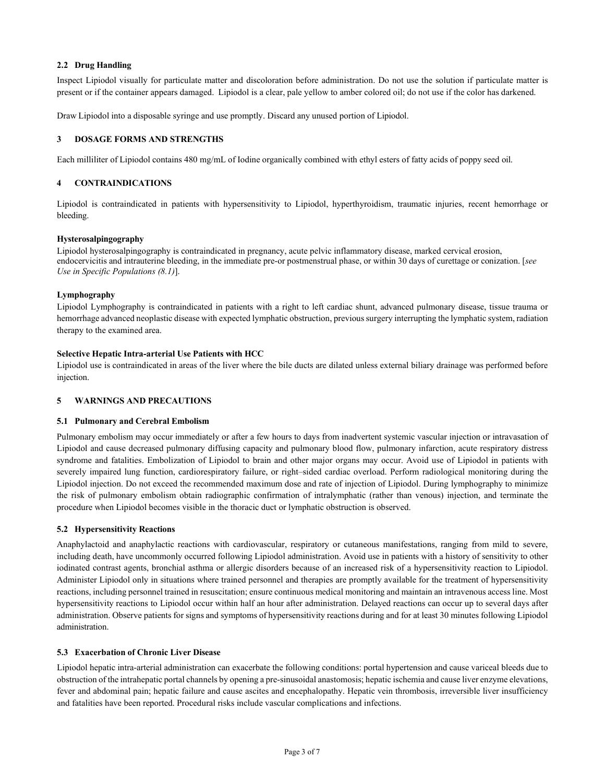# **2.2 Drug Handling**

Inspect Lipiodol visually for particulate matter and discoloration before administration. Do not use the solution if particulate matter is present or if the container appears damaged. Lipiodol is a clear, pale yellow to amber colored oil; do not use if the color has darkened.

Draw Lipiodol into a disposable syringe and use promptly. Discard any unused portion of Lipiodol.

### **3 DOSAGE FORMS AND STRENGTHS**

Each milliliter of Lipiodol contains 480 mg/mL of Iodine organically combined with ethyl esters of fatty acids of poppy seed oil.

### **4 CONTRAINDICATIONS**

Lipiodol is contraindicated in patients with hypersensitivity to Lipiodol, hyperthyroidism, traumatic injuries, recent hemorrhage or bleeding.

### **Hysterosalpingography**

Lipiodol hysterosalpingography is contraindicated in pregnancy, acute pelvic inflammatory disease, marked cervical erosion, endocervicitis and intrauterine bleeding, in the immediate pre-or postmenstrual phase, or within 30 days of curettage or conization. [*see Use in Specific Populations (8.1)*].

## **Lymphography**

Lipiodol Lymphography is contraindicated in patients with a right to left cardiac shunt, advanced pulmonary disease, tissue trauma or hemorrhage advanced neoplastic disease with expected lymphatic obstruction, previoussurgery interrupting the lymphatic system, radiation therapy to the examined area.

## **Selective Hepatic Intra-arterial Use Patients with HCC**

Lipiodol use is contraindicated in areas of the liver where the bile ducts are dilated unless external biliary drainage was performed before injection.

## **5 WARNINGS AND PRECAUTIONS**

#### **5.1 Pulmonary and Cerebral Embolism**

Pulmonary embolism may occur immediately or after a few hours to days from inadvertent systemic vascular injection or intravasation of Lipiodol and cause decreased pulmonary diffusing capacity and pulmonary blood flow, pulmonary infarction, acute respiratory distress syndrome and fatalities. Embolization of Lipiodol to brain and other major organs may occur. Avoid use of Lipiodol in patients with severely impaired lung function, cardiorespiratory failure, or right–sided cardiac overload. Perform radiological monitoring during the Lipiodol injection. Do not exceed the recommended maximum dose and rate of injection of Lipiodol. During lymphography to minimize the risk of pulmonary embolism obtain radiographic confirmation of intralymphatic (rather than venous) injection, and terminate the procedure when Lipiodol becomes visible in the thoracic duct or lymphatic obstruction is observed.

## **5.2 Hypersensitivity Reactions**

Anaphylactoid and anaphylactic reactions with cardiovascular, respiratory or cutaneous manifestations, ranging from mild to severe, including death, have uncommonly occurred following Lipiodol administration. Avoid use in patients with a history of sensitivity to other iodinated contrast agents, bronchial asthma or allergic disorders because of an increased risk of a hypersensitivity reaction to Lipiodol. Administer Lipiodol only in situations where trained personnel and therapies are promptly available for the treatment of hypersensitivity reactions, including personnel trained in resuscitation; ensure continuous medical monitoring and maintain an intravenous access line. Most hypersensitivity reactions to Lipiodol occur within half an hour after administration. Delayed reactions can occur up to several days after administration. Observe patients for signs and symptoms of hypersensitivity reactions during and for at least 30 minutes following Lipiodol administration.

## **5.3 Exacerbation of Chronic Liver Disease**

Lipiodol hepatic intra-arterial administration can exacerbate the following conditions: portal hypertension and cause variceal bleeds due to obstruction of the intrahepatic portal channels by opening a pre-sinusoidal anastomosis; hepatic ischemia and cause liver enzyme elevations, fever and abdominal pain; hepatic failure and cause ascites and encephalopathy. Hepatic vein thrombosis, irreversible liver insufficiency and fatalities have been reported. Procedural risks include vascular complications and infections.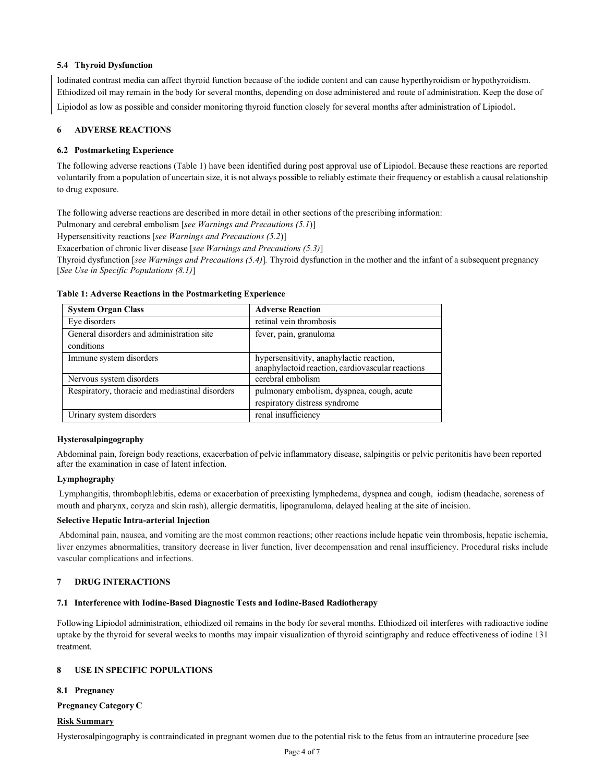## **5.4 Thyroid Dysfunction**

Iodinated contrast media can affect thyroid function because of the iodide content and can cause hyperthyroidism or hypothyroidism. Ethiodized oil may remain in the body for several months, depending on dose administered and route of administration. Keep the dose of

Lipiodol as low as possible and consider monitoring thyroid function closely for several months after administration of Lipiodol.

### **6 ADVERSE REACTIONS**

### **6.2 Postmarketing Experience**

The following adverse reactions (Table 1) have been identified during post approval use of Lipiodol. Because these reactions are reported voluntarily from a population of uncertain size, it is not always possible to reliably estimate their frequency or establish a causal relationship to drug exposure.

The following adverse reactions are described in more detail in other sections of the prescribing information:

Pulmonary and cerebral embolism [*see Warnings and Precautions (5.1*)]

Hypersensitivity reactions [*see Warnings and Precautions (5.2*)]

Exacerbation of chronic liver disease [*see Warnings and Precautions (5.3)*]

Thyroid dysfunction [*see Warnings and Precautions (5.4)*]*.* Thyroid dysfunction in the mother and the infant of a subsequent pregnancy [*See Use in Specific Populations (8.1)*]

| <b>System Organ Class</b>                       | <b>Adverse Reaction</b>                          |
|-------------------------------------------------|--------------------------------------------------|
| Eye disorders                                   | retinal vein thrombosis                          |
| General disorders and administration site       | fever, pain, granuloma                           |
| conditions                                      |                                                  |
| Immune system disorders                         | hypersensitivity, anaphylactic reaction,         |
|                                                 | anaphylactoid reaction, cardiovascular reactions |
| Nervous system disorders                        | cerebral embolism                                |
| Respiratory, thoracic and mediastinal disorders | pulmonary embolism, dyspnea, cough, acute        |
|                                                 | respiratory distress syndrome                    |
| Urinary system disorders                        | renal insufficiency                              |

#### **Table 1: Adverse Reactions in the Postmarketing Experience**

### **Hysterosalpingography**

Abdominal pain, foreign body reactions, exacerbation of pelvic inflammatory disease, salpingitis or pelvic peritonitis have been reported after the examination in case of latent infection.

### **Lymphography**

Lymphangitis, thrombophlebitis, edema or exacerbation of preexisting lymphedema, dyspnea and cough, iodism (headache, soreness of mouth and pharynx, coryza and skin rash), allergic dermatitis, lipogranuloma, delayed healing at the site of incision.

#### **Selective Hepatic Intra-arterial Injection**

Abdominal pain, nausea, and vomiting are the most common reactions; other reactions include hepatic vein thrombosis, hepatic ischemia, liver enzymes abnormalities, transitory decrease in liver function, liver decompensation and renal insufficiency. Procedural risks include vascular complications and infections.

### **7 DRUG INTERACTIONS**

## **7.1 Interference with Iodine-Based Diagnostic Tests and Iodine-Based Radiotherapy**

Following Lipiodol administration, ethiodized oil remains in the body for several months. Ethiodized oil interferes with radioactive iodine uptake by the thyroid for several weeks to months may impair visualization of thyroid scintigraphy and reduce effectiveness of iodine 131 treatment.

### **8 USE IN SPECIFIC POPULATIONS**

#### **8.1 Pregnancy**

### **Pregnancy Category C**

#### **Risk Summary**

Hysterosalpingography is contraindicated in pregnant women due to the potential risk to the fetus from an intrauterine procedure [see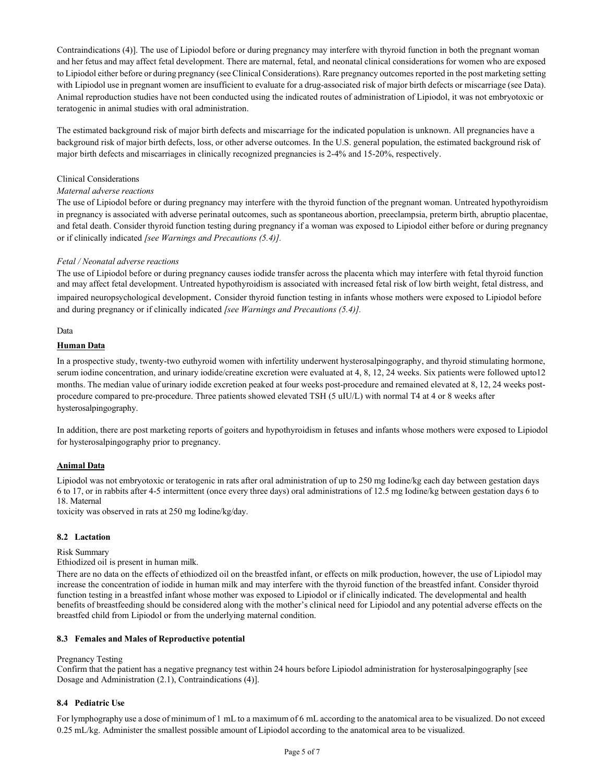Contraindications (4)]. The use of Lipiodol before or during pregnancy may interfere with thyroid function in both the pregnant woman and her fetus and may affect fetal development. There are maternal, fetal, and neonatal clinical considerations for women who are exposed to Lipiodol either before or during pregnancy (see Clinical Considerations). Rare pregnancy outcomes reported in the post marketing setting with Lipiodol use in pregnant women are insufficient to evaluate for a drug-associated risk of major birth defects or miscarriage (see Data). Animal reproduction studies have not been conducted using the indicated routes of administration of Lipiodol, it was not embryotoxic or teratogenic in animal studies with oral administration.

The estimated background risk of major birth defects and miscarriage for the indicated population is unknown. All pregnancies have a background risk of major birth defects, loss, or other adverse outcomes. In the U.S. general population, the estimated background risk of major birth defects and miscarriages in clinically recognized pregnancies is 2-4% and 15-20%, respectively.

### Clinical Considerations

### *Maternal adverse reactions*

The use of Lipiodol before or during pregnancy may interfere with the thyroid function of the pregnant woman. Untreated hypothyroidism in pregnancy is associated with adverse perinatal outcomes, such as spontaneous abortion, preeclampsia, preterm birth, abruptio placentae, and fetal death. Consider thyroid function testing during pregnancy if a woman was exposed to Lipiodol either before or during pregnancy or if clinically indicated *[see Warnings and Precautions (5.4)].*

## *Fetal / Neonatal adverse reactions*

The use of Lipiodol before or during pregnancy causes iodide transfer across the placenta which may interfere with fetal thyroid function and may affect fetal development. Untreated hypothyroidism is associated with increased fetal risk of low birth weight, fetal distress, and impaired neuropsychological development. Consider thyroid function testing in infants whose mothers were exposed to Lipiodol before and during pregnancy or if clinically indicated *[see Warnings and Precautions (5.4)].*

Data

## **Human Data**

In a prospective study, twenty-two euthyroid women with infertility underwent hysterosalpingography, and thyroid stimulating hormone, serum iodine concentration, and urinary iodide/creatine excretion were evaluated at 4, 8, 12, 24 weeks. Six patients were followed upto12 months. The median value of urinary iodide excretion peaked at four weeks post-procedure and remained elevated at 8, 12, 24 weeks postprocedure compared to pre-procedure. Three patients showed elevated TSH (5 uIU/L) with normal T4 at 4 or 8 weeks after hysterosalpingography.

In addition, there are post marketing reports of goiters and hypothyroidism in fetuses and infants whose mothers were exposed to Lipiodol for hysterosalpingography prior to pregnancy.

## **Animal Data**

Lipiodol was not embryotoxic or teratogenic in rats after oral administration of up to 250 mg Iodine/kg each day between gestation days 6 to 17, or in rabbits after 4-5 intermittent (once every three days) oral administrations of 12.5 mg Iodine/kg between gestation days 6 to 18. Maternal

toxicity was observed in rats at 250 mg Iodine/kg/day.

#### **8.2 Lactation**

## Risk Summary

Ethiodized oil is present in human milk.

There are no data on the effects of ethiodized oil on the breastfed infant, or effects on milk production, however, the use of Lipiodol may increase the concentration of iodide in human milk and may interfere with the thyroid function of the breastfed infant. Consider thyroid function testing in a breastfed infant whose mother was exposed to Lipiodol or if clinically indicated. The developmental and health benefits of breastfeeding should be considered along with the mother's clinical need for Lipiodol and any potential adverse effects on the breastfed child from Lipiodol or from the underlying maternal condition.

## **8.3 Females and Males of Reproductive potential**

## Pregnancy Testing

Confirm that the patient has a negative pregnancy test within 24 hours before Lipiodol administration for hysterosalpingography [see Dosage and Administration (2.1), Contraindications (4)].

## **8.4 Pediatric Use**

For lymphography use a dose of minimum of 1 mL to a maximum of 6 mL according to the anatomical area to be visualized. Do not exceed 0.25 mL/kg. Administer the smallest possible amount of Lipiodol according to the anatomical area to be visualized.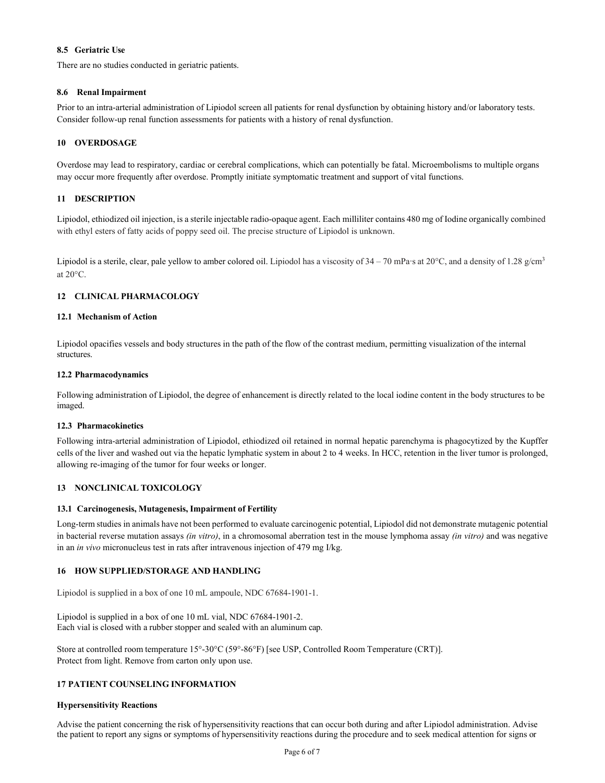# **8.5 Geriatric Use**

There are no studies conducted in geriatric patients.

# **8.6 Renal Impairment**

Prior to an intra-arterial administration of Lipiodol screen all patients for renal dysfunction by obtaining history and/or laboratory tests. Consider follow-up renal function assessments for patients with a history of renal dysfunction.

# **10 OVERDOSAGE**

Overdose may lead to respiratory, cardiac or cerebral complications, which can potentially be fatal. Microembolisms to multiple organs may occur more frequently after overdose. Promptly initiate symptomatic treatment and support of vital functions.

# **11 DESCRIPTION**

Lipiodol, ethiodized oil injection, is a sterile injectable radio-opaque agent. Each milliliter contains 480 mg of Iodine organically combined with ethyl esters of fatty acids of poppy seed oil. The precise structure of Lipiodol is unknown.

Lipiodol is a sterile, clear, pale yellow to amber colored oil. Lipiodol has a viscosity of  $34 - 70$  mPa·s at  $20^{\circ}$ C, and a density of  $1.28$  g/cm<sup>3</sup> at 20°C.

# **12 CLINICAL PHARMACOLOGY**

## **12.1 Mechanism of Action**

Lipiodol opacifies vessels and body structures in the path of the flow of the contrast medium, permitting visualization of the internal structures.

## **12.2 Pharmacodynamics**

Following administration of Lipiodol, the degree of enhancement is directly related to the local iodine content in the body structures to be imaged.

## **12.3 Pharmacokinetics**

Following intra-arterial administration of Lipiodol, ethiodized oil retained in normal hepatic parenchyma is phagocytized by the Kupffer cells of the liver and washed out via the hepatic lymphatic system in about 2 to 4 weeks. In HCC, retention in the liver tumor is prolonged, allowing re-imaging of the tumor for four weeks or longer.

## **13 NONCLINICAL TOXICOLOGY**

## **13.1 Carcinogenesis, Mutagenesis, Impairment of Fertility**

Long-term studies in animals have not been performed to evaluate carcinogenic potential, Lipiodol did not demonstrate mutagenic potential in bacterial reverse mutation assays *(in vitro)*, in a chromosomal aberration test in the mouse lymphoma assay *(in vitro)* and was negative in an *in vivo* micronucleus test in rats after intravenous injection of 479 mg I/kg.

## **16 HOW SUPPLIED/STORAGE AND HANDLING**

Lipiodol is supplied in a box of one 10 mL ampoule, NDC 67684-1901-1.

Lipiodol is supplied in a box of one 10 mL vial, NDC 67684-1901-2. Each vial is closed with a rubber stopper and sealed with an aluminum cap.

Store at controlled room temperature 15°-30°C (59°-86°F) [see USP, Controlled Room Temperature (CRT)]. Protect from light. Remove from carton only upon use.

## **17 PATIENT COUNSELING INFORMATION**

## **Hypersensitivity Reactions**

Advise the patient concerning the risk of hypersensitivity reactions that can occur both during and after Lipiodol administration. Advise the patient to report any signs or symptoms of hypersensitivity reactions during the procedure and to seek medical attention for signs or